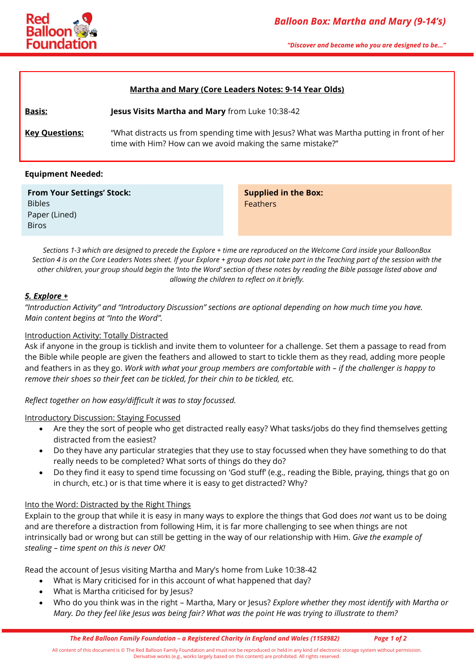

*"Discover and become who you are designed to be…"*

#### **Martha and Mary (Core Leaders Notes: 9-14 Year Olds)**

**Basis: Jesus Visits Martha and Mary** from Luke 10:38-42 **Key Questions:** "What distracts us from spending time with Jesus? What was Martha putting in front of her time with Him? How can we avoid making the same mistake?"

## **Equipment Needed:**

| <b>From Your Settings' Stock:</b> |
|-----------------------------------|
| <b>Bibles</b>                     |
| Paper (Lined)                     |
| <b>Biros</b>                      |

**Supplied in the Box:** Feathers

*Sections 1-3 which are designed to precede the Explore + time are reproduced on the Welcome Card inside your BalloonBox Section 4 is on the Core Leaders Notes sheet. If your Explore + group does not take part in the Teaching part of the session with the other children, your group should begin the 'Into the Word' section of these notes by reading the Bible passage listed above and allowing the children to reflect on it briefly.*

## *5. Explore +*

*"Introduction Activity" and "Introductory Discussion" sections are optional depending on how much time you have. Main content begins at "Into the Word".*

#### Introduction Activity: Totally Distracted

Ask if anyone in the group is ticklish and invite them to volunteer for a challenge. Set them a passage to read from the Bible while people are given the feathers and allowed to start to tickle them as they read, adding more people and feathers in as they go. *Work with what your group members are comfortable with – if the challenger is happy to remove their shoes so their feet can be tickled, for their chin to be tickled, etc.*

*Reflect together on how easy/difficult it was to stay focussed.*

#### Introductory Discussion: Staying Focussed

- Are they the sort of people who get distracted really easy? What tasks/jobs do they find themselves getting distracted from the easiest?
- Do they have any particular strategies that they use to stay focussed when they have something to do that really needs to be completed? What sorts of things do they do?
- Do they find it easy to spend time focussing on 'God stuff' (e.g., reading the Bible, praying, things that go on in church, etc.) or is that time where it is easy to get distracted? Why?

#### Into the Word: Distracted by the Right Things

Explain to the group that while it is easy in many ways to explore the things that God does *not* want us to be doing and are therefore a distraction from following Him, it is far more challenging to see when things are not intrinsically bad or wrong but can still be getting in the way of our relationship with Him. *Give the example of stealing – time spent on this is never OK!*

Read the account of Jesus visiting Martha and Mary's home from Luke 10:38-42

- What is Mary criticised for in this account of what happened that day?
- What is Martha criticised for by Jesus?
- Who do you think was in the right Martha, Mary or Jesus? *Explore whether they most identify with Martha or Mary. Do they feel like Jesus was being fair? What was the point He was trying to illustrate to them?*